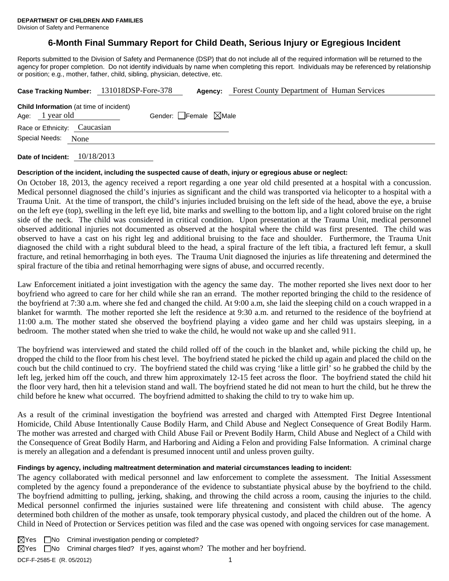# **6-Month Final Summary Report for Child Death, Serious Injury or Egregious Incident**

Reports submitted to the Division of Safety and Permanence (DSP) that do not include all of the required information will be returned to the agency for proper completion. Do not identify individuals by name when completing this report. Individuals may be referenced by relationship or position; e.g., mother, father, child, sibling, physician, detective, etc.

| Case Tracking Number: 131018DSP-Fore-378                          |  |  | Agency:                         | <b>Forest County Department of Human Services</b> |  |  |
|-------------------------------------------------------------------|--|--|---------------------------------|---------------------------------------------------|--|--|
| <b>Child Information</b> (at time of incident)<br>Age: 1 year old |  |  | Gender: Female $\boxtimes$ Male |                                                   |  |  |
| Race or Ethnicity: Caucasian                                      |  |  |                                 |                                                   |  |  |
| Special Needs:<br>None                                            |  |  |                                 |                                                   |  |  |
|                                                                   |  |  |                                 |                                                   |  |  |

**Date of Incident:** 10/18/2013

## **Description of the incident, including the suspected cause of death, injury or egregious abuse or neglect:**

On October 18, 2013, the agency received a report regarding a one year old child presented at a hospital with a concussion. Medical personnel diagnosed the child's injuries as significant and the child was transported via helicopter to a hospital with a Trauma Unit. At the time of transport, the child's injuries included bruising on the left side of the head, above the eye, a bruise on the left eye (top), swelling in the left eye lid, bite marks and swelling to the bottom lip, and a light colored bruise on the right side of the neck. The child was considered in critical condition. Upon presentation at the Trauma Unit, medical personnel observed additional injuries not documented as observed at the hospital where the child was first presented. The child was observed to have a cast on his right leg and additional bruising to the face and shoulder. Furthermore, the Trauma Unit diagnosed the child with a right subdural bleed to the head, a spiral fracture of the left tibia, a fractured left femur, a skull fracture, and retinal hemorrhaging in both eyes. The Trauma Unit diagnosed the injuries as life threatening and determined the spiral fracture of the tibia and retinal hemorrhaging were signs of abuse, and occurred recently.

Law Enforcement initiated a joint investigation with the agency the same day. The mother reported she lives next door to her boyfriend who agreed to care for her child while she ran an errand. The mother reported bringing the child to the residence of the boyfriend at 7:30 a.m. where she fed and changed the child. At 9:00 a.m, she laid the sleeping child on a couch wrapped in a blanket for warmth. The mother reported she left the residence at 9:30 a.m. and returned to the residence of the boyfriend at 11:00 a.m. The mother stated she observed the boyfriend playing a video game and her child was upstairs sleeping, in a bedroom. The mother stated when she tried to wake the child, he would not wake up and she called 911.

The boyfriend was interviewed and stated the child rolled off of the couch in the blanket and, while picking the child up, he dropped the child to the floor from his chest level. The boyfriend stated he picked the child up again and placed the child on the couch but the child continued to cry. The boyfriend stated the child was crying 'like a little girl' so he grabbed the child by the left leg, jerked him off the couch, and threw him approximately 12-15 feet across the floor. The boyfriend stated the child hit the floor very hard, then hit a television stand and wall. The boyfriend stated he did not mean to hurt the child, but he threw the child before he knew what occurred. The boyfriend admitted to shaking the child to try to wake him up.

As a result of the criminal investigation the boyfriend was arrested and charged with Attempted First Degree Intentional Homicide, Child Abuse Intentionally Cause Bodily Harm, and Child Abuse and Neglect Consequence of Great Bodily Harm. The mother was arrested and charged with Child Abuse Fail or Prevent Bodily Harm, Child Abuse and Neglect of a Child with the Consequence of Great Bodily Harm, and Harboring and Aiding a Felon and providing False Information. A criminal charge is merely an allegation and a defendant is presumed innocent until and unless proven guilty.

## **Findings by agency, including maltreatment determination and material circumstances leading to incident:**

The agency collaborated with medical personnel and law enforcement to complete the assessment. The Initial Assessment completed by the agency found a preponderance of the evidence to substantiate physical abuse by the boyfriend to the child. The boyfriend admitting to pulling, jerking, shaking, and throwing the child across a room, causing the injuries to the child. Medical personnel confirmed the injuries sustained were life threatening and consistent with child abuse. The agency determined both children of the mother as unsafe, took temporary physical custody, and placed the children out of the home. A Child in Need of Protection or Services petition was filed and the case was opened with ongoing services for case management.

DCF-F-2585-E (R. 05/2012) 1  $\boxtimes$ Yes  $\Box$ No Criminal investigation pending or completed?  $\boxtimes$  Yes  $\Box$  No Criminal charges filed? If yes, against whom? The mother and her boyfriend.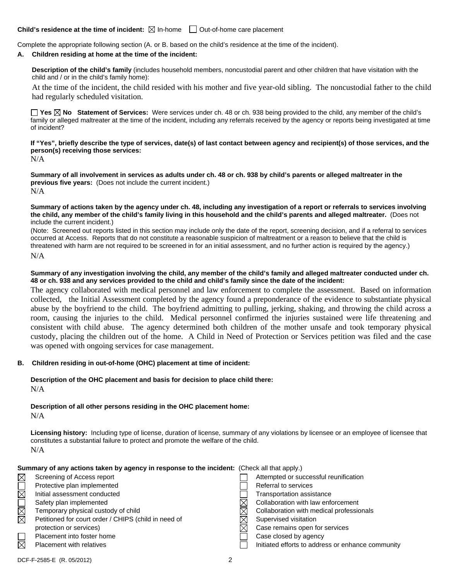### **Child's residence at the time of incident:**  $\boxtimes$  In-home  $\Box$  Out-of-home care placement

Complete the appropriate following section (A. or B. based on the child's residence at the time of the incident).

#### **A. Children residing at home at the time of the incident:**

**Description of the child's family** (includes household members, noncustodial parent and other children that have visitation with the child and / or in the child's family home):

 At the time of the incident, the child resided with his mother and five year-old sibling. The noncustodial father to the child had regularly scheduled visitation.

**Yes No Statement of Services:** Were services under ch. 48 or ch. 938 being provided to the child, any member of the child's family or alleged maltreater at the time of the incident, including any referrals received by the agency or reports being investigated at time of incident?

**If "Yes", briefly describe the type of services, date(s) of last contact between agency and recipient(s) of those services, and the person(s) receiving those services:**  N/A

**Summary of all involvement in services as adults under ch. 48 or ch. 938 by child's parents or alleged maltreater in the previous five years:** (Does not include the current incident.) N/A

**Summary of actions taken by the agency under ch. 48, including any investigation of a report or referrals to services involving the child, any member of the child's family living in this household and the child's parents and alleged maltreater.** (Does not include the current incident.)

(Note: Screened out reports listed in this section may include only the date of the report, screening decision, and if a referral to services occurred at Access. Reports that do not constitute a reasonable suspicion of maltreatment or a reason to believe that the child is threatened with harm are not required to be screened in for an initial assessment, and no further action is required by the agency.) N/A

#### **Summary of any investigation involving the child, any member of the child's family and alleged maltreater conducted under ch. 48 or ch. 938 and any services provided to the child and child's family since the date of the incident:**

The agency collaborated with medical personnel and law enforcement to complete the assessment. Based on information collected, the Initial Assessment completed by the agency found a preponderance of the evidence to substantiate physical abuse by the boyfriend to the child. The boyfriend admitting to pulling, jerking, shaking, and throwing the child across a room, causing the injuries to the child. Medical personnel confirmed the injuries sustained were life threatening and consistent with child abuse. The agency determined both children of the mother unsafe and took temporary physical custody, placing the children out of the home. A Child in Need of Protection or Services petition was filed and the case was opened with ongoing services for case management.

#### **B. Children residing in out-of-home (OHC) placement at time of incident:**

## **Description of the OHC placement and basis for decision to place child there:** N/A

**Description of all other persons residing in the OHC placement home:** N/A

**Licensing history:** Including type of license, duration of license, summary of any violations by licensee or an employee of licensee that constitutes a substantial failure to protect and promote the welfare of the child. N/A

| Summary of any actions taken by agency in response to the incident: (Check all that apply.) |
|---------------------------------------------------------------------------------------------|
|---------------------------------------------------------------------------------------------|

| $\times$ | Screening of Access report                           | Attempted or successful reunification             |
|----------|------------------------------------------------------|---------------------------------------------------|
|          | Protective plan implemented                          | Referral to services                              |
|          | Initial assessment conducted                         | Transportation assistance                         |
|          | Safety plan implemented                              | Collaboration with law enforcement                |
| $\times$ | Temporary physical custody of child                  | Collaboration with medical professionals          |
|          | Petitioned for court order / CHIPS (child in need of | Supervised visitation                             |
|          | protection or services)                              | Case remains open for services                    |
|          | Placement into foster home                           | Case closed by agency                             |
|          | <b>Placement with relatives</b>                      | Initiated efforts to address or enhance community |